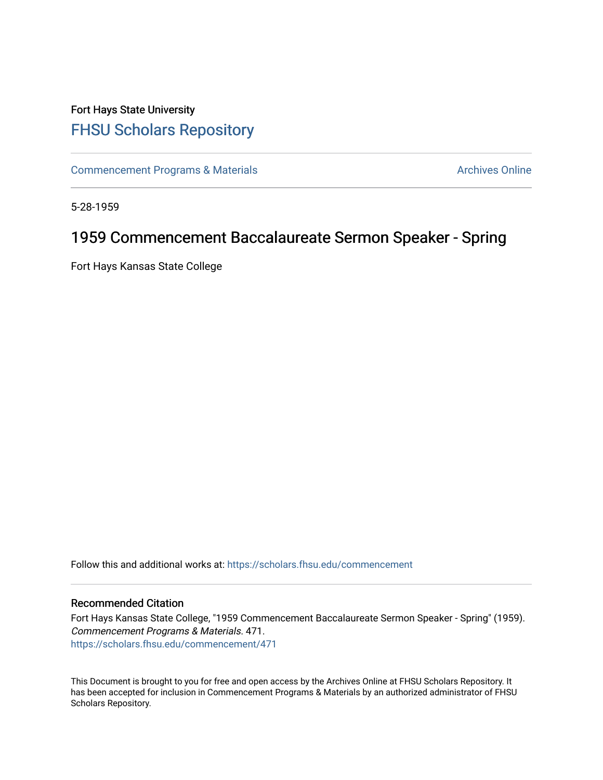## Fort Hays State University [FHSU Scholars Repository](https://scholars.fhsu.edu/)

[Commencement Programs & Materials](https://scholars.fhsu.edu/commencement) **Archives Online** Archives Online

5-28-1959

## 1959 Commencement Baccalaureate Sermon Speaker - Spring

Fort Hays Kansas State College

Follow this and additional works at: [https://scholars.fhsu.edu/commencement](https://scholars.fhsu.edu/commencement?utm_source=scholars.fhsu.edu%2Fcommencement%2F471&utm_medium=PDF&utm_campaign=PDFCoverPages)

## Recommended Citation

Fort Hays Kansas State College, "1959 Commencement Baccalaureate Sermon Speaker - Spring" (1959). Commencement Programs & Materials. 471. [https://scholars.fhsu.edu/commencement/471](https://scholars.fhsu.edu/commencement/471?utm_source=scholars.fhsu.edu%2Fcommencement%2F471&utm_medium=PDF&utm_campaign=PDFCoverPages)

This Document is brought to you for free and open access by the Archives Online at FHSU Scholars Repository. It has been accepted for inclusion in Commencement Programs & Materials by an authorized administrator of FHSU Scholars Repository.